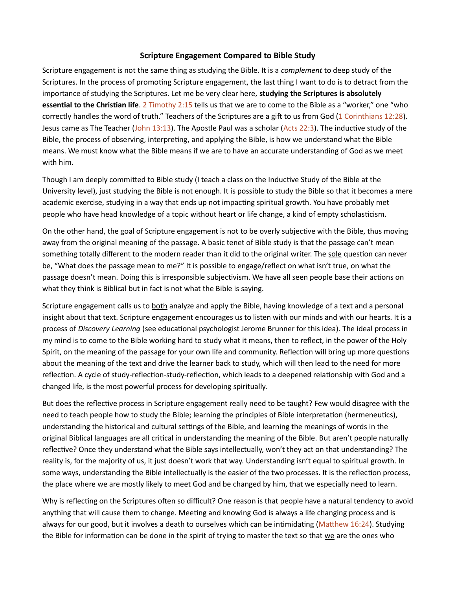## Scripture Engagement Compared to Bible Study

Scripture engagement is not the same thing as studying the Bible. It is a *complement* to deep study of the Scriptures. In the process of promoting Scripture engagement, the last thing I want to do is to detract from the importance of studying the Scriptures. Let me be very clear here, studying the Scriptures is absolutely essential to the Christian life. 2 Timothy 2:15 tells us that we are to come to the Bible as a "worker," one "who correctly handles the word of truth." Teachers of the Scriptures are a gift to us from God (1 Corinthians 12:28). Jesus came as The Teacher (John 13:13). The Apostle Paul was a scholar (Acts 22:3). The inductive study of the Bible, the process of observing, interpreting, and applying the Bible, is how we understand what the Bible means. We must know what the Bible means if we are to have an accurate understanding of God as we meet with him.

Though I am deeply committed to Bible study (I teach a class on the Inductive Study of the Bible at the University level), just studying the Bible is not enough. It is possible to study the Bible so that it becomes a mere academic exercise, studying in a way that ends up not impacting spiritual growth. You have probably met people who have head knowledge of a topic without heart or life change, a kind of empty scholasticism.

On the other hand, the goal of Scripture engagement is not to be overly subjective with the Bible, thus moving away from the original meaning of the passage. A basic tenet of Bible study is that the passage can't mean something totally different to the modern reader than it did to the original writer. The sole question can never be, "What does the passage mean to me?" It is possible to engage/reflect on what isn't true, on what the passage doesn't mean. Doing this is irresponsible subjectivism. We have all seen people base their actions on what they think is Biblical but in fact is not what the Bible is saying.

Scripture engagement calls us to both analyze and apply the Bible, having knowledge of a text and a personal insight about that text. Scripture engagement encourages us to listen with our minds and with our hearts. It is a process of Discovery Learning (see educational psychologist Jerome Brunner for this idea). The ideal process in my mind is to come to the Bible working hard to study what it means, then to reflect, in the power of the Holy Spirit, on the meaning of the passage for your own life and community. Reflection will bring up more questions about the meaning of the text and drive the learner back to study, which will then lead to the need for more reflection. A cycle of study-reflection-study-reflection, which leads to a deepened relationship with God and a changed life, is the most powerful process for developing spiritually.

But does the reflective process in Scripture engagement really need to be taught? Few would disagree with the need to teach people how to study the Bible; learning the principles of Bible interpretation (hermeneutics), understanding the historical and cultural settings of the Bible, and learning the meanings of words in the original Biblical languages are all critical in understanding the meaning of the Bible. But aren't people naturally reflective? Once they understand what the Bible says intellectually, won't they act on that understanding? The reality is, for the majority of us, it just doesn't work that way. Understanding isn't equal to spiritual growth. In some ways, understanding the Bible intellectually is the easier of the two processes. It is the reflection process, the place where we are mostly likely to meet God and be changed by him, that we especially need to learn.

Why is reflecting on the Scriptures often so difficult? One reason is that people have a natural tendency to avoid anything that will cause them to change. Meeting and knowing God is always a life changing process and is always for our good, but it involves a death to ourselves which can be intimidating (Matthew 16:24). Studying the Bible for information can be done in the spirit of trying to master the text so that  $\underline{we}$  are the ones who